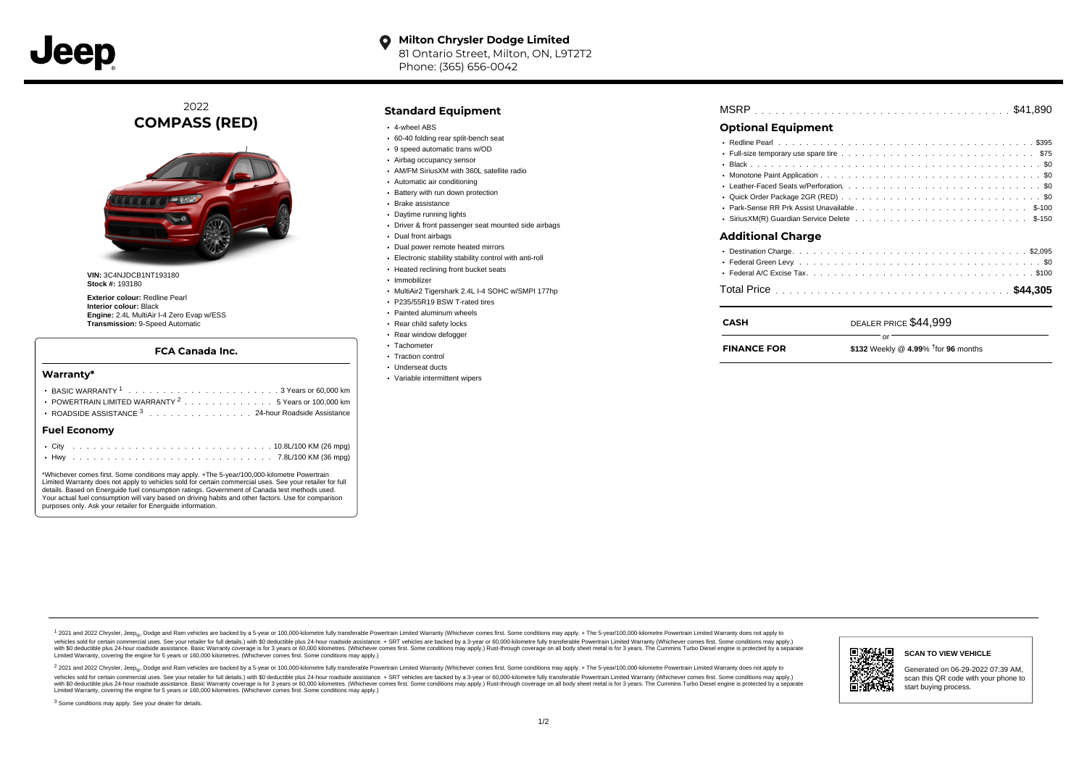**Milton Chrysler Dodge Limited**  $\bullet$ 81 Ontario Street, Milton, ON, L9T2T2 Phone: (365) 656-0042

2022 **COMPASS (RED)**



**VIN:** 3C4NJDCB1NT193180 **Stock #:** 193180

**Exterior colour:** Redline Pearl **Interior colour:** Black **Engine:** 2.4L MultiAir I-4 Zero Evap w/ESS **Transmission:** 9-Speed Automatic

### **FCA Canada Inc.**

#### **Warranty\***

| POWERTRAIN LIMITED WARRANTY <sup>2</sup> 5 Years or 100,000 km |  |
|----------------------------------------------------------------|--|
| ROADSIDE ASSISTANCE 3 24-hour Roadside Assistance              |  |
| <b>Fuel Economv</b>                                            |  |
|                                                                |  |

\*Whichever comes first. Some conditions may apply. +The 5-year/100,000-kilometre Powertrain Limited Warranty does not apply to vehicles sold for certain commercial uses. See your retailer for full details. Based on Energuide fuel consumption ratings. Government of Canada test methods used. Your actual fuel consumption will vary based on driving habits and other factors. Use for comparison purposes only. Ask your retailer for Energuide information.

. . . . . . . . . . . . . . . . . . . . . . . . . . . . . . . . . . . . . . . . . . . Hwy 7.8L/100 KM (36 mpg)

# **Standard Equipment**

- 4-wheel ABS
- 60-40 folding rear split-bench seat
- 9 speed automatic trans w/OD
- Airbag occupancy sensor
- AM/FM SiriusXM with 360L satellite radio
- Automatic air conditioning
- Battery with run down protection
- Brake assistance
- Daytime running lights
- Driver & front passenger seat mounted side airbags
- Dual front airbags
- Dual power remote heated mirrors
- Electronic stability stability control with anti-roll
- Heated reclining front bucket seats
- · Immobilizer
- MultiAir2 Tigershark 2.4L I-4 SOHC w/SMPI 177hp
- P235/55R19 BSW T-rated tires
- Painted aluminum wheels
- Rear child safety locks
- Rear window defogger
- Tachometer
- Traction control
- Underseat ducts
- Variable intermittent wipers

| - - | . |  |  |  |  |  |  |  |  |  |  |  |  |  |  |  |  |  |
|-----|---|--|--|--|--|--|--|--|--|--|--|--|--|--|--|--|--|--|

# **Optional Equipment**

| <b>Additional Charge</b> |
|--------------------------|
|                          |
|                          |
|                          |

. . . . . . . . . . . . . . . . . . . . . . . . . . . . . . . . . . . . . . . . . . . . . . Total Price **\$44,305**

# DEALER PRICE \$44,999 or

**FINANCE FOR**

**CASH**

 $$132$  Weekly @  $4.99\%$  <sup>†  $f$ </sup>for 96 months

1 2021 and 2022 Chrysler, Jeep<sub>en</sub> Dodge and Ram vehicles are backed by a 5-year or 100,000-kilometre fully transferable Powertrain Limited Warranty (Whichever comes first. Some conditions may apply. + The 5-year/100,000-k vehicles sold for certain commercial uses. See your retailer for full details.) with \$0 deductible plus 24-hour roadside assistance. + SRT vehicles are backed by a 3-year or 60,000-kilometre fully transferable Powertrain L versus and contract the mean of the contract of the contract with a contract with a contract the contract of the search of the contract and a control of the contract and contract and control of the search of the search of Limited Warranty, covering the engine for 5 years or 160,000 kilometres. (Whichever comes first. Some conditions may apply.)

<sup>2</sup> 2021 and 2022 Chrysler, Jeep<sub>®</sub>, Dodge and Ram vehicles are backed by a 5-year or 100,000-kilometre fully transferable Powertrain Limited Warranty (Whichever comes first. Some conditions may apply. + The 5-year/100,000 vehicles sold for certain commercial uses. See your retailer for full details.) with SO deductible plus 24-hour roadside assistance. + SRT vehicles are backed by a 3-year or 60.000-kilometre fully transferable Powertrain L with S0 deductible plus 24-hour roadside assistance. Basic Warranty coverage is for 3 years or 60,000 kilometres. (Whichever comes first. Some conditions may apply.) Rust-through coverage on all body sheet metal is for 3 y



**SCAN TO VIEW VEHICLE**

Generated on 06-29-2022 07:39 AM, scan this QR code with your phone to start buying process.

<sup>3</sup> Some conditions may apply. See your dealer for details.